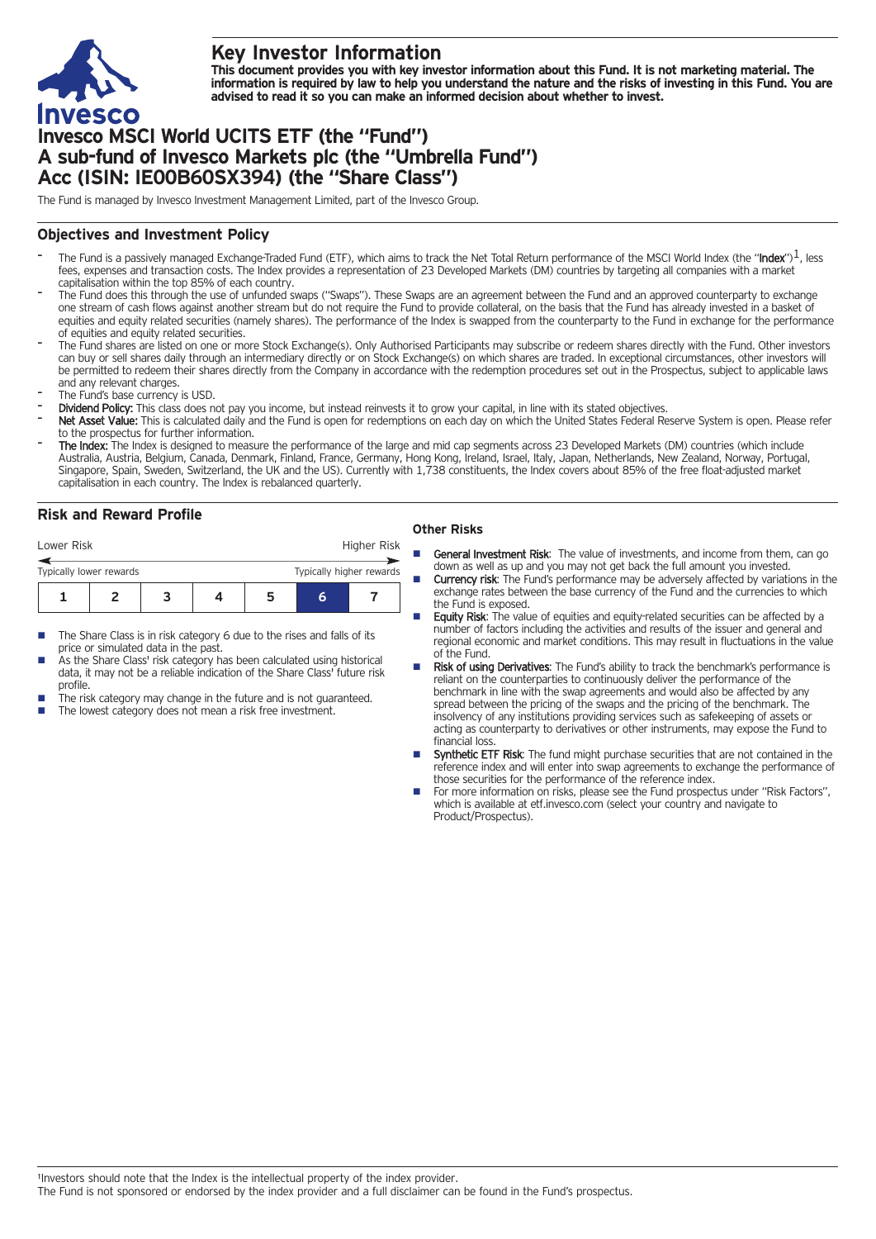

# **Key Investor Information**

This document provides you with key investor information about this Fund. It is not marketing material. The information is required by law to help you understand the nature and the risks of investing in this Fund. You are **advised to read it so you can make an informed decision about whether to invest.**

# **Invesco MSCI World UCITS ETF (the "Fund") A sub-fund of Invesco Markets plc (the "Umbrella Fund") Acc (ISIN: IE00B60SX394) (the "Share Class")**

The Fund is managed by Invesco Investment Management Limited, part of the Invesco Group.

## **Objectives and Investment Policy**

- The Fund is a passively managed Exchange-Traded Fund (ETF), which aims to track the Net Total Return performance of the MSCI World Index (the "Index")<sup>1</sup>, less fees, expenses and transaction costs. The Index provides a representation of 23 Developed Markets (DM) countries by targeting all companies with a market capitalisation within the top 85% of each country.
- The Fund does this through the use of unfunded swaps ("Swaps"). These Swaps are an agreement between the Fund and an approved counterparty to exchange one stream of cash flows against another stream but do not require the Fund to provide collateral, on the basis that the Fund has already invested in a basket of equities and equity related securities (namely shares). The performance of the Index is swapped from the counterparty to the Fund in exchange for the performance of equities and equity related securities.
- The Fund shares are listed on one or more Stock Exchange(s). Only Authorised Participants may subscribe or redeem shares directly with the Fund. Other investors can buy or sell shares daily through an intermediary directly or on Stock Exchange(s) on which shares are traded. In exceptional circumstances, other investors will be permitted to redeem their shares directly from the Company in accordance with the redemption procedures set out in the Prospectus, subject to applicable laws and any relevant charges.
- The Fund's base currency is USD.
- Dividend Policy: This class does not pay you income, but instead reinvests it to grow your capital, in line with its stated objectives.
- Net Asset Value: This is calculated daily and the Fund is open for redemptions on each day on which the United States Federal Reserve System is open. Please refer to the prospectus for further information.
- The Index: The Index is designed to measure the performance of the large and mid cap segments across 23 Developed Markets (DM) countries (which include Australia, Austria, Belgium, Canada, Denmark, Finland, France, Germany, Hong Kong, Ireland, Israel, Italy, Japan, Netherlands, New Zealand, Norway, Portugal, Singapore, Spain, Sweden, Switzerland, the UK and the US). Currently with 1,738 constituents, the Index covers about 85% of the free float-adjusted market capitalisation in each country. The Index is rebalanced quarterly.

## **Risk and Reward Profile**

| Lower Risk              |  |  |  |  | Higher Risk              |  |  |
|-------------------------|--|--|--|--|--------------------------|--|--|
| Typically lower rewards |  |  |  |  | Typically higher rewards |  |  |
|                         |  |  |  |  | h                        |  |  |

- The Share Class is in risk category 6 due to the rises and falls of its price or simulated data in the past.
- As the Share Class' risk category has been calculated using historical data, it may not be a reliable indication of the Share Class' future risk profile.
- The risk category may change in the future and is not guaranteed.
- The lowest category does not mean a risk free investment.

### **Other Risks**

- **General Investment Risk:** The value of investments, and income from them, can go down as well as up and you may not get back the full amount you invested.
- Currency risk: The Fund's performance may be adversely affected by variations in the exchange rates between the base currency of the Fund and the currencies to which the Fund is exposed.
- Equity Risk: The value of equities and equity-related securities can be affected by a number of factors including the activities and results of the issuer and general and regional economic and market conditions. This may result in fluctuations in the value of the Fund.
- Risk of using Derivatives: The Fund's ability to track the benchmark's performance is reliant on the counterparties to continuously deliver the performance of the benchmark in line with the swap agreements and would also be affected by any spread between the pricing of the swaps and the pricing of the benchmark. The insolvency of any institutions providing services such as safekeeping of assets or acting as counterparty to derivatives or other instruments, may expose the Fund to financial loss.
- Synthetic ETF Risk: The fund might purchase securities that are not contained in the reference index and will enter into swap agreements to exchange the performance of those securities for the performance of the reference index.
- For more information on risks, please see the Fund prospectus under "Risk Factors", which is available at etf.invesco.com (select your country and navigate to Product/Prospectus).